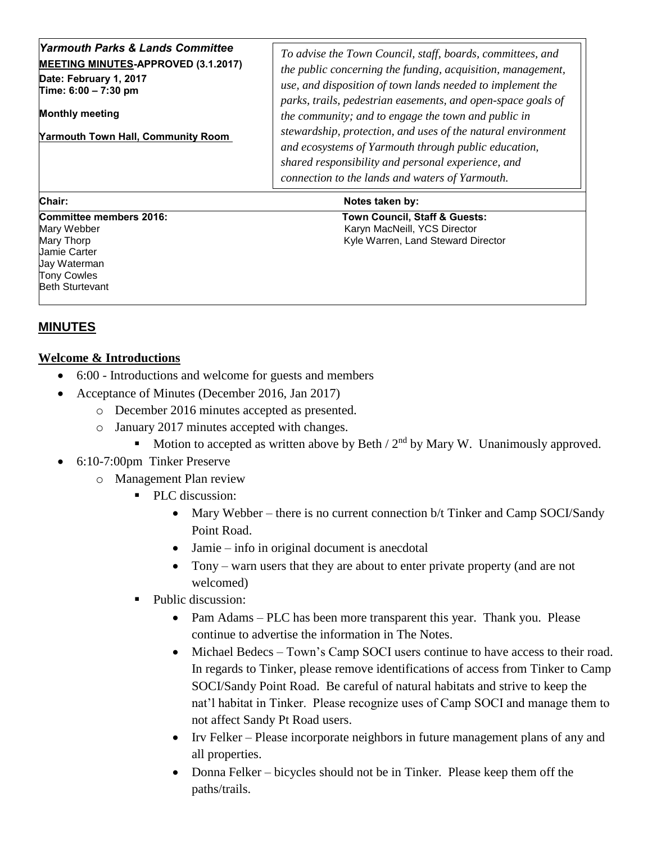| Chair:                                                                         | Notes taken by:                                                                                                                                                                   |
|--------------------------------------------------------------------------------|-----------------------------------------------------------------------------------------------------------------------------------------------------------------------------------|
|                                                                                | shared responsibility and personal experience, and<br>connection to the lands and waters of Yarmouth.                                                                             |
| <b>Yarmouth Town Hall, Community Room</b>                                      | stewardship, protection, and uses of the natural environment<br>and ecosystems of Yarmouth through public education,                                                              |
| Date: February 1, 2017<br>Time: 6:00 - 7:30 pm<br><b>Monthly meeting</b>       | use, and disposition of town lands needed to implement the<br>parks, trails, pedestrian easements, and open-space goals of<br>the community; and to engage the town and public in |
| Yarmouth Parks & Lands Committee<br><b>MEETING MINUTES-APPROVED (3.1.2017)</b> | To advise the Town Council, staff, boards, committees, and<br>the public concerning the funding, acquisition, management,                                                         |

| .                       | $110100$ tanon by:                 |
|-------------------------|------------------------------------|
| Committee members 2016: | Town Council, Staff & Guests:      |
| Mary Webber             | Karyn MacNeill, YCS Director       |
| Mary Thorp              | Kyle Warren, Land Steward Director |
| <b>Jamie Carter</b>     |                                    |
| Uay Waterman            |                                    |
| <b>Tony Cowles</b>      |                                    |
| <b>Beth Sturtevant</b>  |                                    |
|                         |                                    |

## **MINUTES**

## **Welcome & Introductions**

- 6:00 Introductions and welcome for guests and members
- Acceptance of Minutes (December 2016, Jan 2017)
	- o December 2016 minutes accepted as presented.
	- o January 2017 minutes accepted with changes.
		- Motion to accepted as written above by Beth  $/ 2<sup>nd</sup>$  by Mary W. Unanimously approved.
- 6:10-7:00pm Tinker Preserve
	- o Management Plan review
		- **PLC** discussion:
			- Mary Webber there is no current connection b/t Tinker and Camp SOCI/Sandy Point Road.
			- Jamie info in original document is anecdotal
			- Tony warn users that they are about to enter private property (and are not welcomed)
		- Public discussion:
			- Pam Adams PLC has been more transparent this year. Thank you. Please continue to advertise the information in The Notes.
			- Michael Bedecs Town's Camp SOCI users continue to have access to their road. In regards to Tinker, please remove identifications of access from Tinker to Camp SOCI/Sandy Point Road. Be careful of natural habitats and strive to keep the nat'l habitat in Tinker. Please recognize uses of Camp SOCI and manage them to not affect Sandy Pt Road users.
			- Irv Felker Please incorporate neighbors in future management plans of any and all properties.
			- Donna Felker bicycles should not be in Tinker. Please keep them off the paths/trails.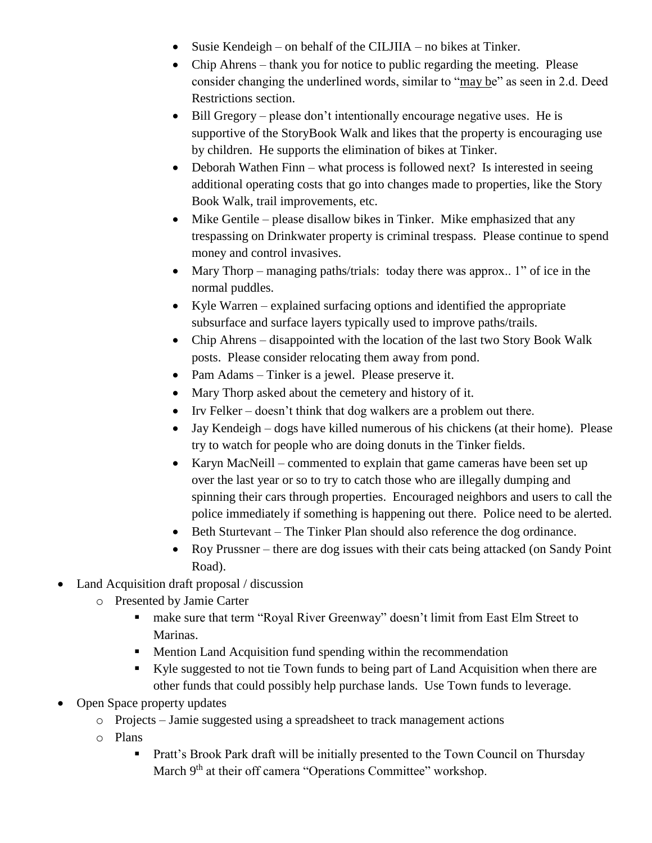- Susie Kendeigh on behalf of the CILJIIA no bikes at Tinker.
- Chip Ahrens thank you for notice to public regarding the meeting. Please consider changing the underlined words, similar to "may be" as seen in 2.d. Deed Restrictions section.
- Bill Gregory please don't intentionally encourage negative uses. He is supportive of the StoryBook Walk and likes that the property is encouraging use by children. He supports the elimination of bikes at Tinker.
- Deborah Wathen Finn what process is followed next? Is interested in seeing additional operating costs that go into changes made to properties, like the Story Book Walk, trail improvements, etc.
- $\bullet$  Mike Gentile please disallow bikes in Tinker. Mike emphasized that any trespassing on Drinkwater property is criminal trespass. Please continue to spend money and control invasives.
- Mary Thorp managing paths/trials: today there was approx.. 1" of ice in the normal puddles.
- Kyle Warren explained surfacing options and identified the appropriate subsurface and surface layers typically used to improve paths/trails.
- Chip Ahrens disappointed with the location of the last two Story Book Walk posts. Please consider relocating them away from pond.
- Pam Adams Tinker is a jewel. Please preserve it.
- Mary Thorp asked about the cemetery and history of it.
- Irv Felker doesn't think that dog walkers are a problem out there.
- Jay Kendeigh dogs have killed numerous of his chickens (at their home). Please try to watch for people who are doing donuts in the Tinker fields.
- Karyn MacNeill commented to explain that game cameras have been set up over the last year or so to try to catch those who are illegally dumping and spinning their cars through properties. Encouraged neighbors and users to call the police immediately if something is happening out there. Police need to be alerted.
- Beth Sturtevant The Tinker Plan should also reference the dog ordinance.
- Roy Prussner there are dog issues with their cats being attacked (on Sandy Point Road).
- Land Acquisition draft proposal / discussion
	- o Presented by Jamie Carter
		- make sure that term "Royal River Greenway" doesn't limit from East Elm Street to Marinas.
		- **Mention Land Acquisition fund spending within the recommendation**
		- Kyle suggested to not tie Town funds to being part of Land Acquisition when there are other funds that could possibly help purchase lands. Use Town funds to leverage.
- Open Space property updates
	- o Projects Jamie suggested using a spreadsheet to track management actions
	- o Plans
		- **Pratt's Brook Park draft will be initially presented to the Town Council on Thursday** March 9<sup>th</sup> at their off camera "Operations Committee" workshop.